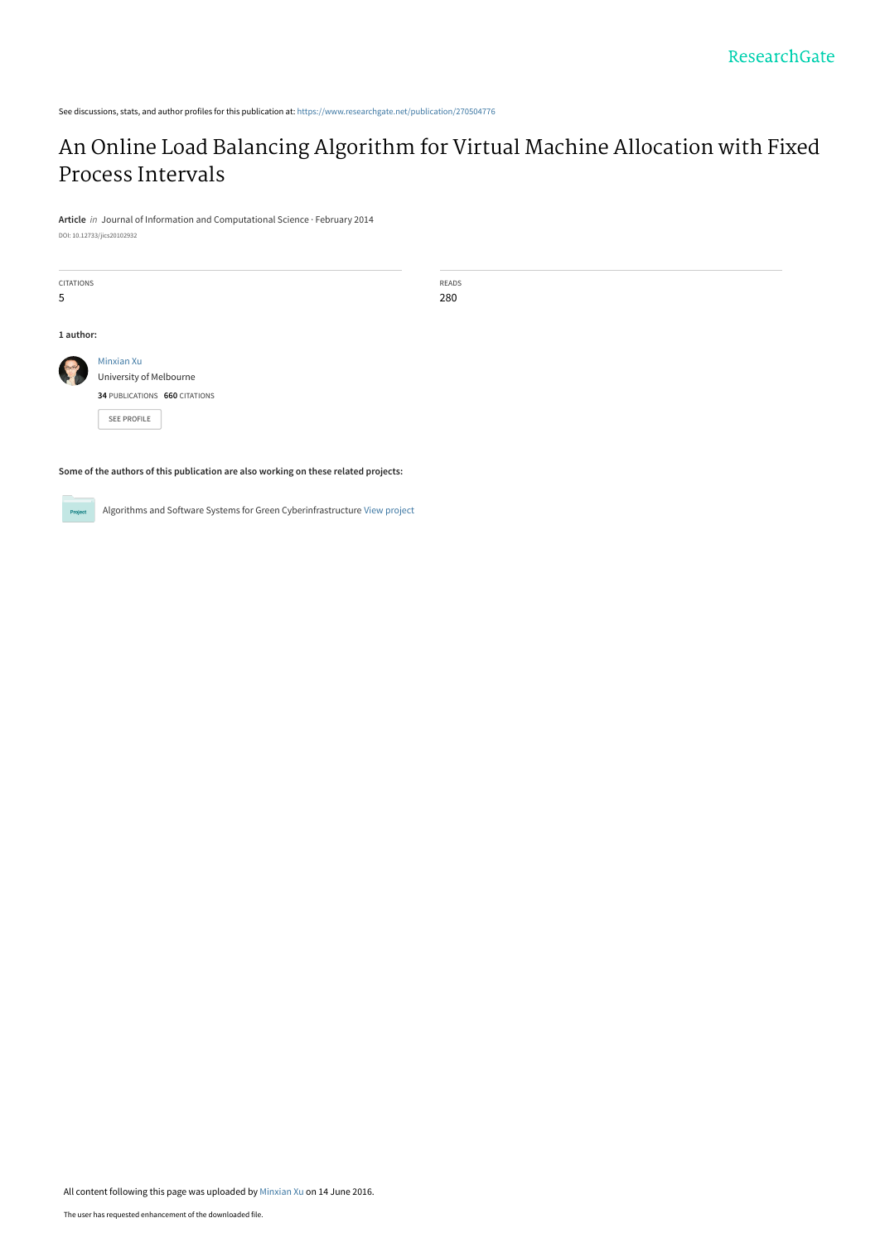See discussions, stats, and author profiles for this publication at: [https://www.researchgate.net/publication/270504776](https://www.researchgate.net/publication/270504776_An_Online_Load_Balancing_Algorithm_for_Virtual_Machine_Allocation_with_Fixed_Process_Intervals?enrichId=rgreq-124ed89402fc46970bc2014f79c8ef24-XXX&enrichSource=Y292ZXJQYWdlOzI3MDUwNDc3NjtBUzozNzI3NTgyMDc4NDQzNTNAMTQ2NTg4Mzg5MDQ2Mw%3D%3D&el=1_x_2&_esc=publicationCoverPdf)

## [An Online Load Balancing Algorithm for Virtual Machine Allocation with Fixed](https://www.researchgate.net/publication/270504776_An_Online_Load_Balancing_Algorithm_for_Virtual_Machine_Allocation_with_Fixed_Process_Intervals?enrichId=rgreq-124ed89402fc46970bc2014f79c8ef24-XXX&enrichSource=Y292ZXJQYWdlOzI3MDUwNDc3NjtBUzozNzI3NTgyMDc4NDQzNTNAMTQ2NTg4Mzg5MDQ2Mw%3D%3D&el=1_x_3&_esc=publicationCoverPdf) Process Intervals

**Article** in Journal of Information and Computational Science · February 2014 DOI: 10.12733/jics20102932

CITATIONS 5

READS 280

**1 author:**

[Minxian Xu](https://www.researchgate.net/profile/Minxian-Xu?enrichId=rgreq-124ed89402fc46970bc2014f79c8ef24-XXX&enrichSource=Y292ZXJQYWdlOzI3MDUwNDc3NjtBUzozNzI3NTgyMDc4NDQzNTNAMTQ2NTg4Mzg5MDQ2Mw%3D%3D&el=1_x_5&_esc=publicationCoverPdf) [University of Melbourne](https://www.researchgate.net/institution/University-of-Melbourne?enrichId=rgreq-124ed89402fc46970bc2014f79c8ef24-XXX&enrichSource=Y292ZXJQYWdlOzI3MDUwNDc3NjtBUzozNzI3NTgyMDc4NDQzNTNAMTQ2NTg4Mzg5MDQ2Mw%3D%3D&el=1_x_6&_esc=publicationCoverPdf)

**34** PUBLICATIONS **660** CITATIONS

[SEE PROFILE](https://www.researchgate.net/profile/Minxian-Xu?enrichId=rgreq-124ed89402fc46970bc2014f79c8ef24-XXX&enrichSource=Y292ZXJQYWdlOzI3MDUwNDc3NjtBUzozNzI3NTgyMDc4NDQzNTNAMTQ2NTg4Mzg5MDQ2Mw%3D%3D&el=1_x_7&_esc=publicationCoverPdf)

**Some of the authors of this publication are also working on these related projects:**

 $Pro$ 

Algorithms and Software Systems for Green Cyberinfrastructure [View project](https://www.researchgate.net/project/Algorithms-and-Software-Systems-for-Green-Cyberinfrastructure?enrichId=rgreq-124ed89402fc46970bc2014f79c8ef24-XXX&enrichSource=Y292ZXJQYWdlOzI3MDUwNDc3NjtBUzozNzI3NTgyMDc4NDQzNTNAMTQ2NTg4Mzg5MDQ2Mw%3D%3D&el=1_x_9&_esc=publicationCoverPdf)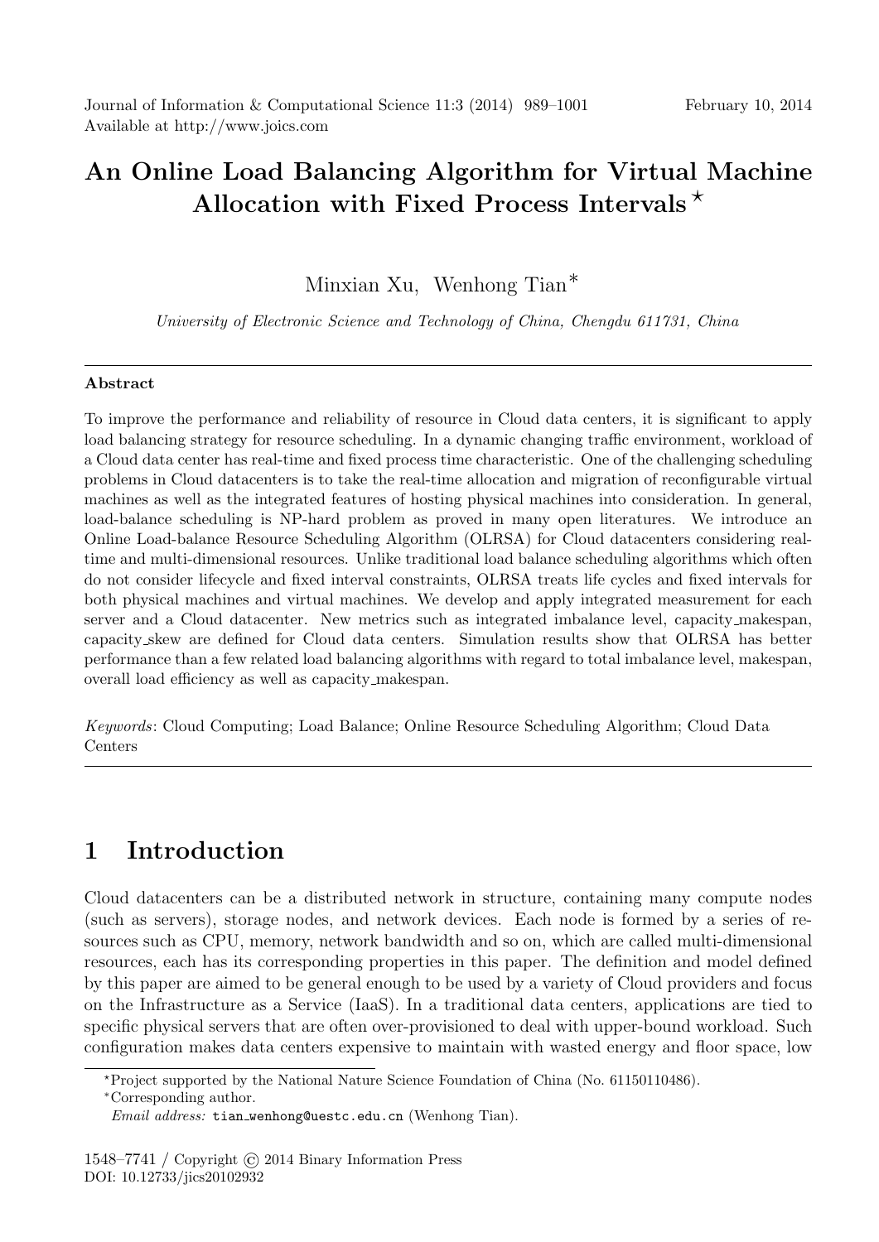# **An Online Load Balancing Algorithm for Virtual Machine Allocation with Fixed Process Intervals** *⋆*

Minxian Xu, Wenhong Tian*∗*

*University of Electronic Science and Technology of China, Chengdu 611731, China*

#### **Abstract**

To improve the performance and reliability of resource in Cloud data centers, it is significant to apply load balancing strategy for resource scheduling. In a dynamic changing traffic environment, workload of a Cloud data center has real-time and fixed process time characteristic. One of the challenging scheduling problems in Cloud datacenters is to take the real-time allocation and migration of reconfigurable virtual machines as well as the integrated features of hosting physical machines into consideration. In general, load-balance scheduling is NP-hard problem as proved in many open literatures. We introduce an Online Load-balance Resource Scheduling Algorithm (OLRSA) for Cloud datacenters considering realtime and multi-dimensional resources. Unlike traditional load balance scheduling algorithms which often do not consider lifecycle and fixed interval constraints, OLRSA treats life cycles and fixed intervals for both physical machines and virtual machines. We develop and apply integrated measurement for each server and a Cloud datacenter. New metrics such as integrated imbalance level, capacity makespan, capacity skew are defined for Cloud data centers. Simulation results show that OLRSA has better performance than a few related load balancing algorithms with regard to total imbalance level, makespan, overall load efficiency as well as capacity makespan.

*Keywords*: Cloud Computing; Load Balance; Online Resource Scheduling Algorithm; Cloud Data Centers

## **1 Introduction**

Cloud datacenters can be a distributed network in structure, containing many compute nodes (such as servers), storage nodes, and network devices. Each node is formed by a series of resources such as CPU, memory, network bandwidth and so on, which are called multi-dimensional resources, each has its corresponding properties in this paper. The definition and model defined by this paper are aimed to be general enough to be used by a variety of Cloud providers and focus on the Infrastructure as a Service (IaaS). In a traditional data centers, applications are tied to specific physical servers that are often over-provisioned to deal with upper-bound workload. Such configuration makes data centers expensive to maintain with wasted energy and floor space, low

*<sup>⋆</sup>*Project supported by the National Nature Science Foundation of China (No. 61150110486).

*<sup>∗</sup>*Corresponding author.

*Email address:* tian wenhong@uestc.edu.cn (Wenhong Tian).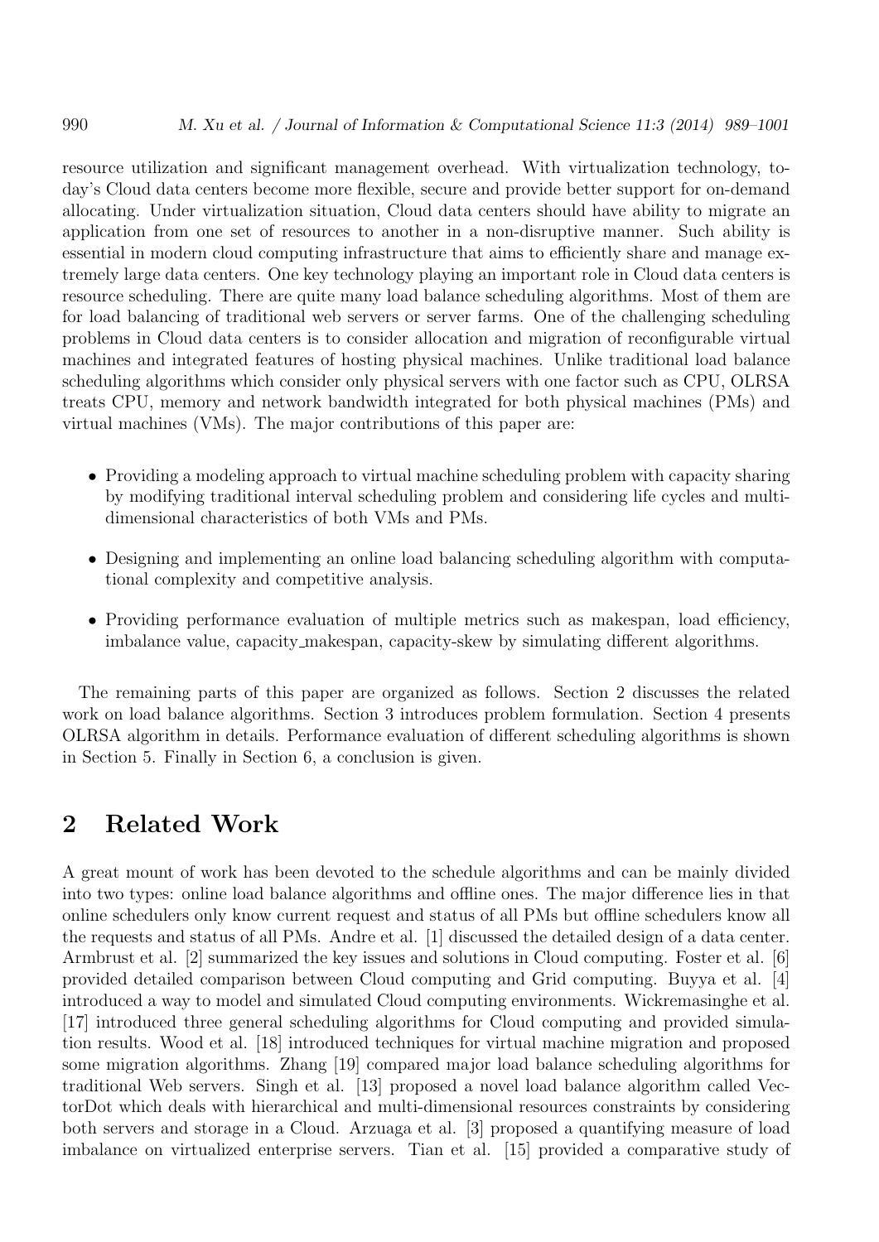resource utilization and significant management overhead. With virtualization technology, today's Cloud data centers become more flexible, secure and provide better support for on-demand allocating. Under virtualization situation, Cloud data centers should have ability to migrate an application from one set of resources to another in a non-disruptive manner. Such ability is essential in modern cloud computing infrastructure that aims to efficiently share and manage extremely large data centers. One key technology playing an important role in Cloud data centers is resource scheduling. There are quite many load balance scheduling algorithms. Most of them are for load balancing of traditional web servers or server farms. One of the challenging scheduling problems in Cloud data centers is to consider allocation and migration of reconfigurable virtual machines and integrated features of hosting physical machines. Unlike traditional load balance scheduling algorithms which consider only physical servers with one factor such as CPU, OLRSA treats CPU, memory and network bandwidth integrated for both physical machines (PMs) and virtual machines (VMs). The major contributions of this paper are:

- Providing a modeling approach to virtual machine scheduling problem with capacity sharing by modifying traditional interval scheduling problem and considering life cycles and multidimensional characteristics of both VMs and PMs.
- Designing and implementing an online load balancing scheduling algorithm with computational complexity and competitive analysis.
- Providing performance evaluation of multiple metrics such as makespan, load efficiency, imbalance value, capacity makespan, capacity-skew by simulating different algorithms.

The remaining parts of this paper are organized as follows. Section 2 discusses the related work on load balance algorithms. Section 3 introduces problem formulation. Section 4 presents OLRSA algorithm in details. Performance evaluation of different scheduling algorithms is shown in Section 5. Finally in Section 6, a conclusion is given.

### **2 Related Work**

A great mount of work has been devoted to the schedule algorithms and can be mainly divided into two types: online load balance algorithms and offline ones. The major difference lies in that online schedulers only know current request and status of all PMs but offline schedulers know all the requests and status of all PMs. Andre et al. [1] discussed the detailed design of a data center. Armbrust et al. [2] summarized the key issues and solutions in Cloud computing. Foster et al. [6] provided detailed comparison between Cloud computing and Grid computing. Buyya et al. [4] introduced a way to model and simulated Cloud computing environments. Wickremasinghe et al. [17] introduced three general scheduling algorithms for Cloud computing and provided simulation results. Wood et al. [18] introduced techniques for virtual machine migration and proposed some migration algorithms. Zhang [19] compared major load balance scheduling algorithms for traditional Web servers. Singh et al. [13] proposed a novel load balance algorithm called VectorDot which deals with hierarchical and multi-dimensional resources constraints by considering both servers and storage in a Cloud. Arzuaga et al. [3] proposed a quantifying measure of load imbalance on virtualized enterprise servers. Tian et al. [15] provided a comparative study of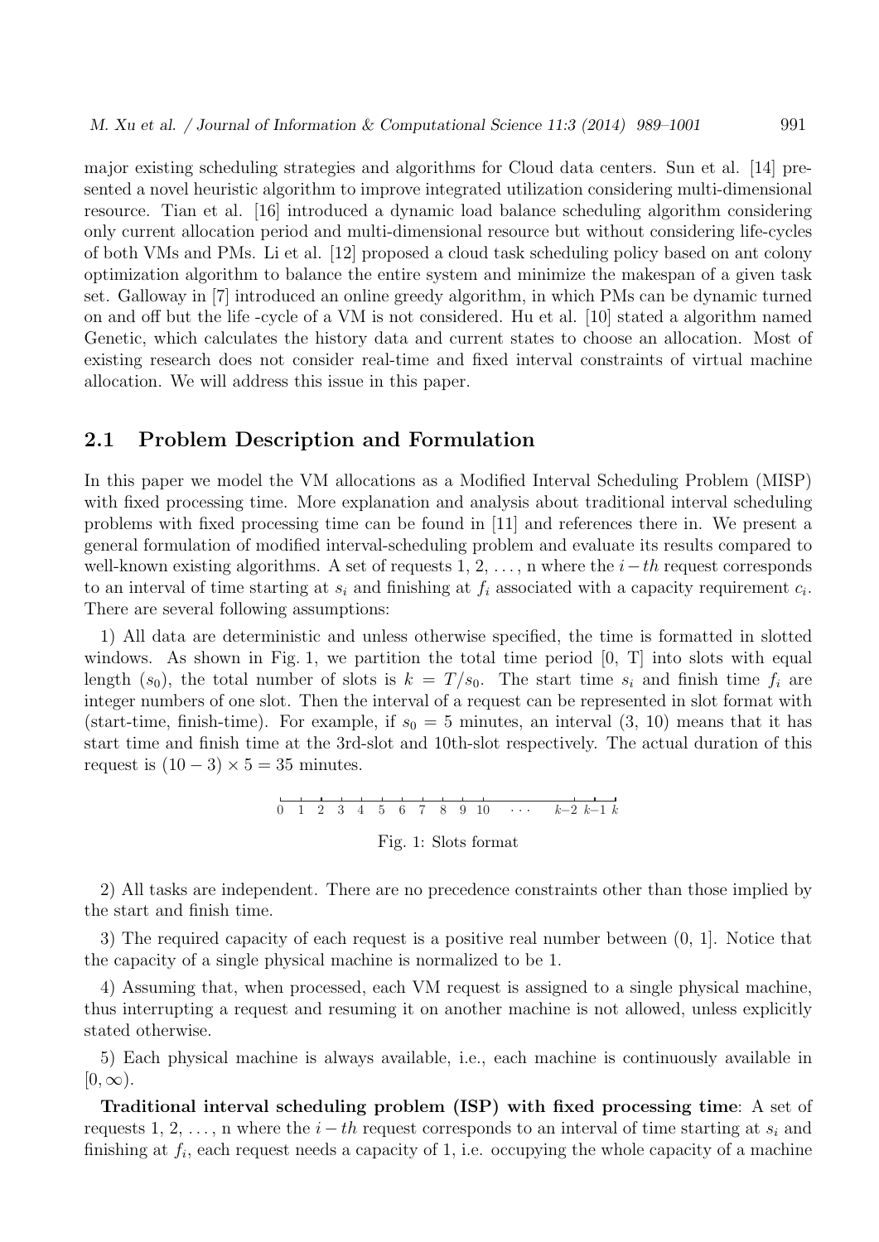major existing scheduling strategies and algorithms for Cloud data centers. Sun et al. [14] presented a novel heuristic algorithm to improve integrated utilization considering multi-dimensional resource. Tian et al. [16] introduced a dynamic load balance scheduling algorithm considering only current allocation period and multi-dimensional resource but without considering life-cycles of both VMs and PMs. Li et al. [12] proposed a cloud task scheduling policy based on ant colony optimization algorithm to balance the entire system and minimize the makespan of a given task set. Galloway in [7] introduced an online greedy algorithm, in which PMs can be dynamic turned on and off but the life -cycle of a VM is not considered. Hu et al. [10] stated a algorithm named Genetic, which calculates the history data and current states to choose an allocation. Most of existing research does not consider real-time and fixed interval constraints of virtual machine allocation. We will address this issue in this paper.

#### **2.1 Problem Description and Formulation**

the start and finish time.

In this paper we model the VM allocations as a Modified Interval Scheduling Problem (MISP) with fixed processing time. More explanation and analysis about traditional interval scheduling problems with fixed processing time can be found in [11] and references there in. We present a general formulation of modified interval-scheduling problem and evaluate its results compared to well-known existing algorithms. A set of requests 1, 2, . . . , n where the *i−th* request corresponds to an interval of time starting at  $s_i$  and finishing at  $f_i$  associated with a capacity requirement  $c_i$ . There are several following assumptions:

1) All data are deterministic and unless otherwise specified, the time is formatted in slotted windows. As shown in Fig. 1, we partition the total time period [0, T] into slots with equal length  $(s_0)$ , the total number of slots is  $k = T/s_0$ . The start time  $s_i$  and finish time  $f_i$  are integer numbers of one slot. Then the interval of a request can be represented in slot format with (start-time, finish-time). For example, if  $s_0 = 5$  minutes, an interval  $(3, 10)$  means that it has start time and finish time at the 3rd-slot and 10th-slot respectively. The actual duration of this request is  $(10-3) \times 5 = 35$  minutes.

0 1 2 3 4 5 6 7 8 9 10 *k*−2 *k*−1 *k* Fig. 1: Slots format

2) All tasks are independent. There are no precedence constraints other than those implied by

3) The required capacity of each request is a positive real number between (0, 1]. Notice that the capacity of a single physical machine is normalized to be 1.

4) Assuming that, when processed, each VM request is assigned to a single physical machine, thus interrupting a request and resuming it on another machine is not allowed, unless explicitly stated otherwise.

5) Each physical machine is always available, i.e., each machine is continuously available in  $[0, \infty)$ .

**Traditional interval scheduling problem (ISP) with fixed processing time**: A set of requests 1, 2, ..., n where the  $i - th$  request corresponds to an interval of time starting at  $s_i$  and finishing at  $f_i$ , each request needs a capacity of 1, i.e. occupying the whole capacity of a machine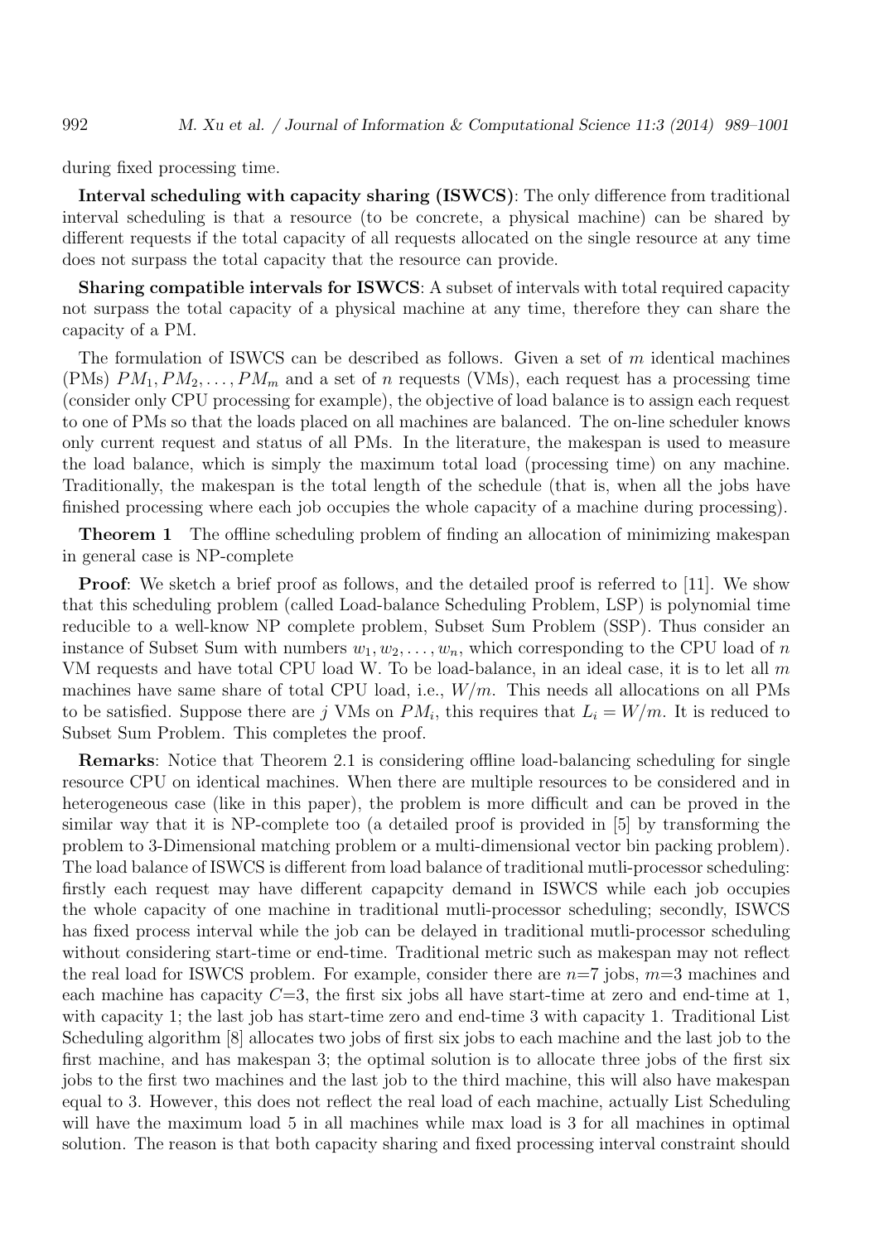during fixed processing time.

**Interval scheduling with capacity sharing (ISWCS)**: The only difference from traditional interval scheduling is that a resource (to be concrete, a physical machine) can be shared by different requests if the total capacity of all requests allocated on the single resource at any time does not surpass the total capacity that the resource can provide.

**Sharing compatible intervals for ISWCS**: A subset of intervals with total required capacity not surpass the total capacity of a physical machine at any time, therefore they can share the capacity of a PM.

The formulation of ISWCS can be described as follows. Given a set of *m* identical machines (PMs)  $PM_1, PM_2, \ldots, PM_m$  and a set of *n* requests (VMs), each request has a processing time (consider only CPU processing for example), the objective of load balance is to assign each request to one of PMs so that the loads placed on all machines are balanced. The on-line scheduler knows only current request and status of all PMs. In the literature, the makespan is used to measure the load balance, which is simply the maximum total load (processing time) on any machine. Traditionally, the makespan is the total length of the schedule (that is, when all the jobs have finished processing where each job occupies the whole capacity of a machine during processing).

**Theorem 1** The offline scheduling problem of finding an allocation of minimizing makespan in general case is NP-complete

**Proof**: We sketch a brief proof as follows, and the detailed proof is referred to [11]. We show that this scheduling problem (called Load-balance Scheduling Problem, LSP) is polynomial time reducible to a well-know NP complete problem, Subset Sum Problem (SSP). Thus consider an instance of Subset Sum with numbers  $w_1, w_2, \ldots, w_n$ , which corresponding to the CPU load of *n* VM requests and have total CPU load W. To be load-balance, in an ideal case, it is to let all *m* machines have same share of total CPU load, i.e., *W/m*. This needs all allocations on all PMs to be satisfied. Suppose there are *j* VMs on  $PM_i$ , this requires that  $L_i = W/m$ . It is reduced to Subset Sum Problem. This completes the proof.

**Remarks**: Notice that Theorem 2.1 is considering offline load-balancing scheduling for single resource CPU on identical machines. When there are multiple resources to be considered and in heterogeneous case (like in this paper), the problem is more difficult and can be proved in the similar way that it is NP-complete too (a detailed proof is provided in [5] by transforming the problem to 3-Dimensional matching problem or a multi-dimensional vector bin packing problem). The load balance of ISWCS is different from load balance of traditional mutli-processor scheduling: firstly each request may have different capapcity demand in ISWCS while each job occupies the whole capacity of one machine in traditional mutli-processor scheduling; secondly, ISWCS has fixed process interval while the job can be delayed in traditional mutli-processor scheduling without considering start-time or end-time. Traditional metric such as makespan may not reflect the real load for ISWCS problem. For example, consider there are *n*=7 jobs, *m*=3 machines and each machine has capacity  $C=3$ , the first six jobs all have start-time at zero and end-time at 1, with capacity 1; the last job has start-time zero and end-time 3 with capacity 1. Traditional List Scheduling algorithm [8] allocates two jobs of first six jobs to each machine and the last job to the first machine, and has makespan 3; the optimal solution is to allocate three jobs of the first six jobs to the first two machines and the last job to the third machine, this will also have makespan equal to 3. However, this does not reflect the real load of each machine, actually List Scheduling will have the maximum load 5 in all machines while max load is 3 for all machines in optimal solution. The reason is that both capacity sharing and fixed processing interval constraint should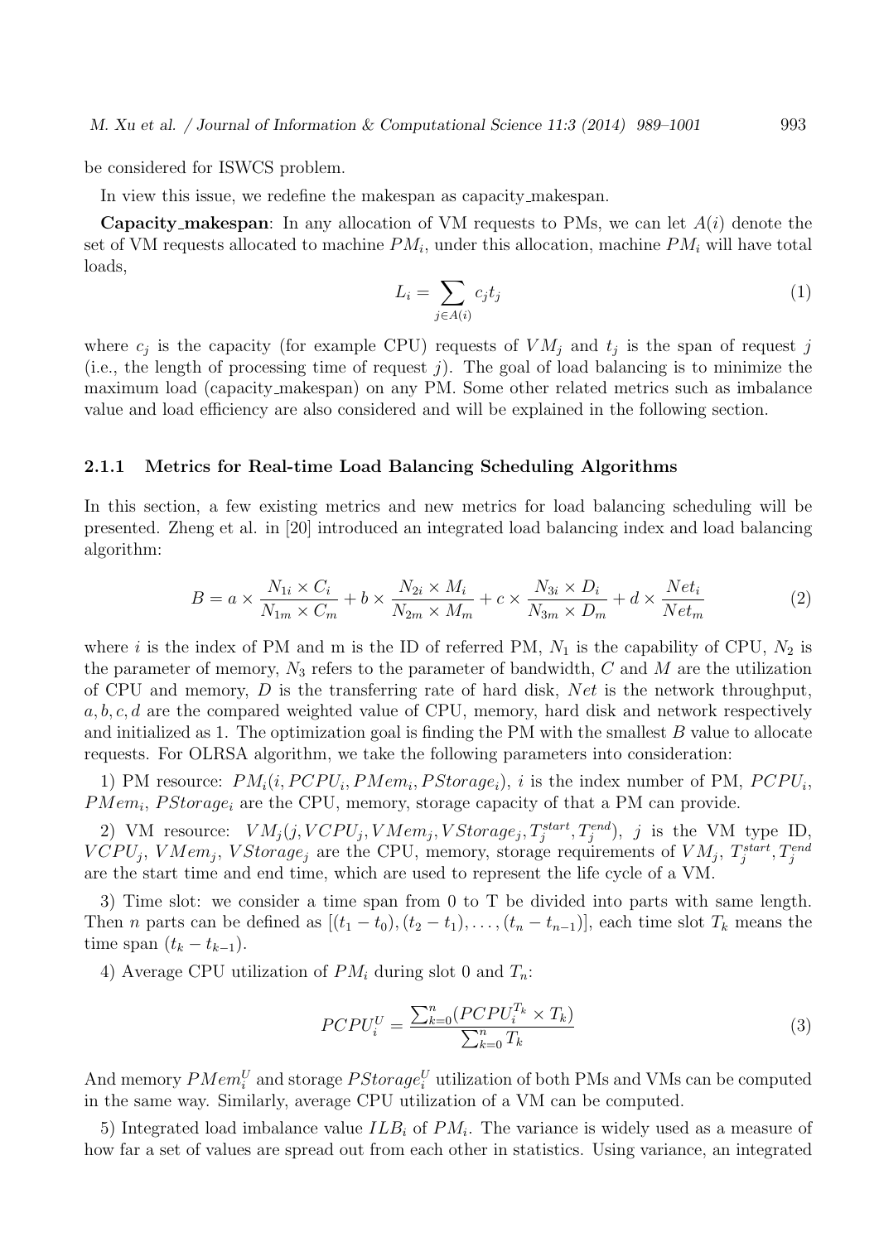be considered for ISWCS problem.

In view this issue, we redefine the makespan as capacity makespan.

**Capacity makespan**: In any allocation of VM requests to PMs, we can let *A*(*i*) denote the set of VM requests allocated to machine *PM<sup>i</sup>* , under this allocation, machine *PM<sup>i</sup>* will have total loads,

$$
L_i = \sum_{j \in A(i)} c_j t_j \tag{1}
$$

where  $c_j$  is the capacity (for example CPU) requests of  $VM_j$  and  $t_j$  is the span of request *j* (i.e., the length of processing time of request *j*). The goal of load balancing is to minimize the maximum load (capacity makespan) on any PM. Some other related metrics such as imbalance value and load efficiency are also considered and will be explained in the following section.

#### **2.1.1 Metrics for Real-time Load Balancing Scheduling Algorithms**

In this section, a few existing metrics and new metrics for load balancing scheduling will be presented. Zheng et al. in [20] introduced an integrated load balancing index and load balancing algorithm:

$$
B = a \times \frac{N_{1i} \times C_i}{N_{1m} \times C_m} + b \times \frac{N_{2i} \times M_i}{N_{2m} \times M_m} + c \times \frac{N_{3i} \times D_i}{N_{3m} \times D_m} + d \times \frac{Net_i}{Net_m}
$$
(2)

where *i* is the index of PM and m is the ID of referred PM,  $N_1$  is the capability of CPU,  $N_2$  is the parameter of memory,  $N_3$  refers to the parameter of bandwidth,  $C$  and  $M$  are the utilization of CPU and memory, *D* is the transferring rate of hard disk, *Net* is the network throughput, *a, b, c, d* are the compared weighted value of CPU, memory, hard disk and network respectively and initialized as 1. The optimization goal is finding the PM with the smallest *B* value to allocate requests. For OLRSA algorithm, we take the following parameters into consideration:

1) PM resource:  $PM_i(i, PCPU_i, PMem_i, PStorage_i)$ , *i* is the index number of PM,  $PCPU_i$ , *PMem<sup>i</sup>* , *P Storage<sup>i</sup>* are the CPU, memory, storage capacity of that a PM can provide.

2) VM resource:  $VM_j(j, VCPU_j, VMem_j, VStorage_j, T_j^{start}, T_j^{end}), j$  is the VM type ID,  $VCPU_j$ ,  $VMem_j$ ,  $VStorage_j$  are the CPU, memory, storage requirements of  $VM_j$ ,  $T_j^{start}$ ,  $T_j^{end}$ are the start time and end time, which are used to represent the life cycle of a VM.

3) Time slot: we consider a time span from 0 to T be divided into parts with same length. Then *n* parts can be defined as  $[(t_1 - t_0), (t_2 - t_1), \ldots, (t_n - t_{n-1})]$ , each time slot  $T_k$  means the  $time span (t_k - t_{k-1}).$ 

4) Average CPU utilization of *PM<sup>i</sup>* during slot 0 and *Tn*:

$$
PCPU_i^U = \frac{\sum_{k=0}^{n} (PCPU_i^{T_k} \times T_k)}{\sum_{k=0}^{n} T_k}
$$
\n(3)

And memory  $PMem_i^U$  and storage  $PStorage_i^U$  utilization of both PMs and VMs can be computed in the same way. Similarly, average CPU utilization of a VM can be computed.

5) Integrated load imbalance value *ILB<sup>i</sup>* of *PM<sup>i</sup>* . The variance is widely used as a measure of how far a set of values are spread out from each other in statistics. Using variance, an integrated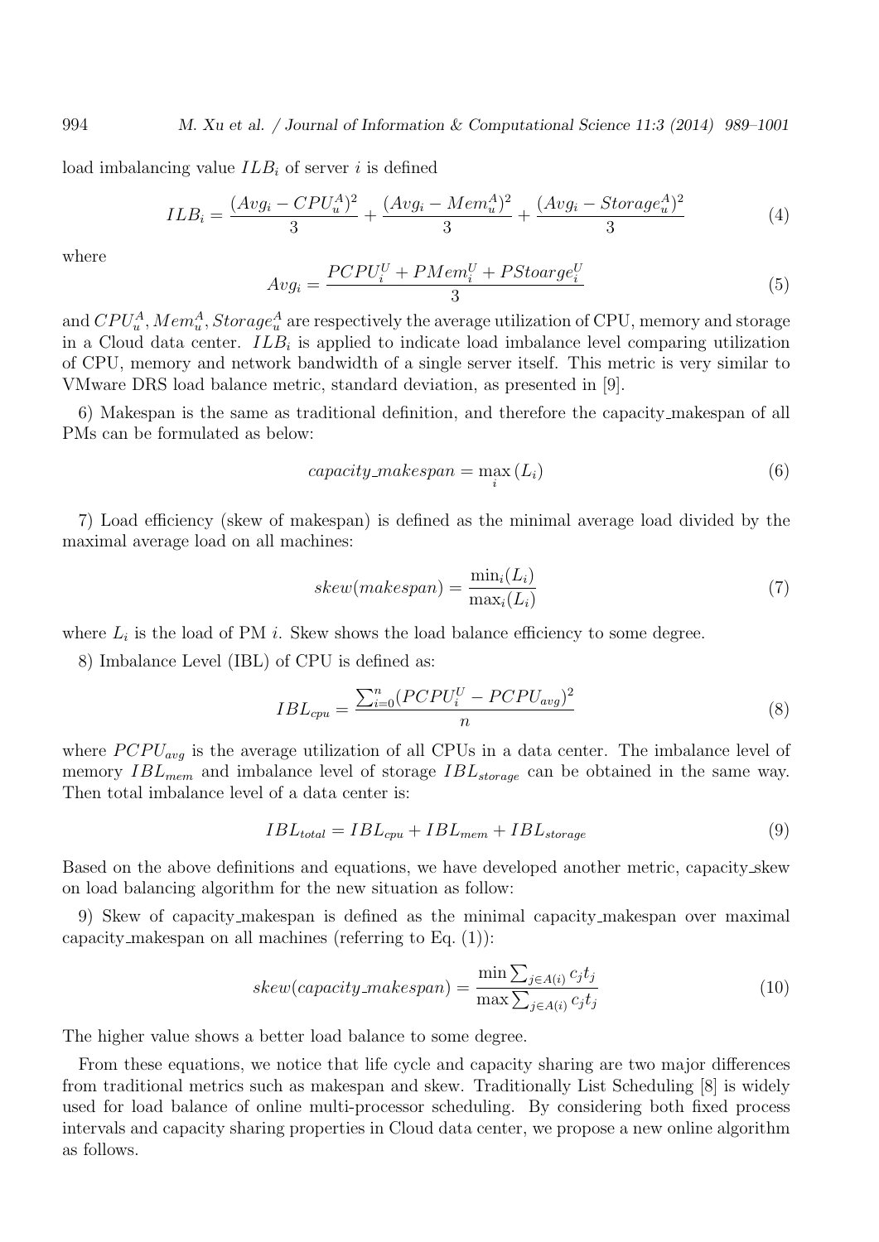load imbalancing value *ILB<sup>i</sup>* of server *i* is defined

$$
ILB_i = \frac{(Avg_i - CPU_u^A)^2}{3} + \frac{(Avg_i - Mem_u^A)^2}{3} + \frac{(Avg_i - Storage_u^A)^2}{3}
$$
(4)

where

$$
Avg_i = \frac{PCPU_i^U + PMem_i^U + PStoarge_i^U}{3} \tag{5}
$$

and  $CPU_u^A$ ,  $Mem_u^A$ ,  $Storage_u^A$  are respectively the average utilization of CPU, memory and storage in a Cloud data center. *ILB<sup>i</sup>* is applied to indicate load imbalance level comparing utilization of CPU, memory and network bandwidth of a single server itself. This metric is very similar to VMware DRS load balance metric, standard deviation, as presented in [9].

6) Makespan is the same as traditional definition, and therefore the capacity makespan of all PMs can be formulated as below:

$$
capacity\_makespan = \max_{i} (L_i)
$$
\n(6)

7) Load efficiency (skew of makespan) is defined as the minimal average load divided by the maximal average load on all machines:

$$
skew(makespan) = \frac{\min_i(L_i)}{\max_i(L_i)}
$$
\n<sup>(7)</sup>

where  $L_i$  is the load of PM  $i$ . Skew shows the load balance efficiency to some degree.

8) Imbalance Level (IBL) of CPU is defined as:

$$
IBL_{cpu} = \frac{\sum_{i=0}^{n} (PCPU_i^U - PCPU_{avg})^2}{n}
$$
\n
$$
(8)
$$

where  $PCPU_{avg}$  is the average utilization of all CPUs in a data center. The imbalance level of memory *IBLmem* and imbalance level of storage *IBLstorage* can be obtained in the same way. Then total imbalance level of a data center is:

$$
IBL_{total} = IBL_{cpu} + IBL_{mem} + IBL_{storage}
$$
\n
$$
(9)
$$

Based on the above definitions and equations, we have developed another metric, capacity skew on load balancing algorithm for the new situation as follow:

9) Skew of capacity makespan is defined as the minimal capacity makespan over maximal capacity makespan on all machines (referring to Eq. (1)):

$$
skew(capacity\_makespan) = \frac{\min \sum_{j \in A(i)} c_j t_j}{\max \sum_{j \in A(i)} c_j t_j}
$$
\n(10)

The higher value shows a better load balance to some degree.

From these equations, we notice that life cycle and capacity sharing are two major differences from traditional metrics such as makespan and skew. Traditionally List Scheduling [8] is widely used for load balance of online multi-processor scheduling. By considering both fixed process intervals and capacity sharing properties in Cloud data center, we propose a new online algorithm as follows.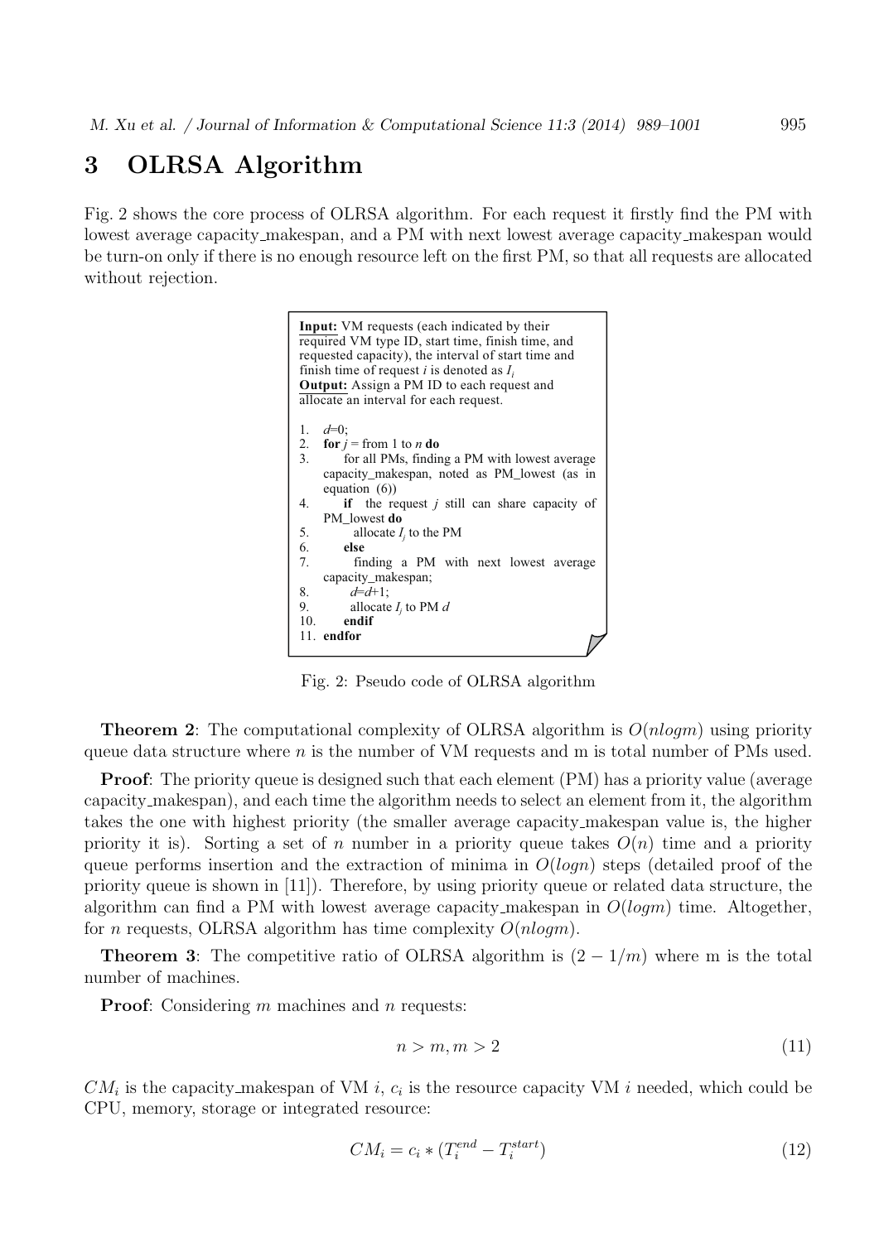## **3 OLRSA Algorithm**

Fig. 2 shows the core process of OLRSA algorithm. For each request it firstly find the PM with lowest average capacity makespan, and a PM with next lowest average capacity makespan would be turn-on only if there is no enough resource left on the first PM, so that all requests are allocated without rejection.



Fig. 2: Pseudo code of OLRSA algorithm

**Theorem 2**: The computational complexity of OLRSA algorithm is *O*(*nlogm*) using priority queue data structure where *n* is the number of VM requests and m is total number of PMs used.

**Proof**: The priority queue is designed such that each element (PM) has a priority value (average capacity makespan), and each time the algorithm needs to select an element from it, the algorithm takes the one with highest priority (the smaller average capacity makespan value is, the higher priority it is). Sorting a set of *n* number in a priority queue takes  $O(n)$  time and a priority queue performs insertion and the extraction of minima in *O*(*logn*) steps (detailed proof of the priority queue is shown in [11]). Therefore, by using priority queue or related data structure, the algorithm can find a PM with lowest average capacity makespan in *O*(*logm*) time. Altogether, for *n* requests, OLRSA algorithm has time complexity *O*(*nlogm*).

**Theorem 3**: The competitive ratio of OLRSA algorithm is  $(2 - 1/m)$  where m is the total number of machines.

**Proof**: Considering *m* machines and *n* requests:

$$
n > m, m > 2 \tag{11}
$$

 $CM_i$  is the capacity makespan of VM *i*,  $c_i$  is the resource capacity VM *i* needed, which could be CPU, memory, storage or integrated resource:

$$
CM_i = c_i * (T_i^{end} - T_i^{start})
$$
\n(12)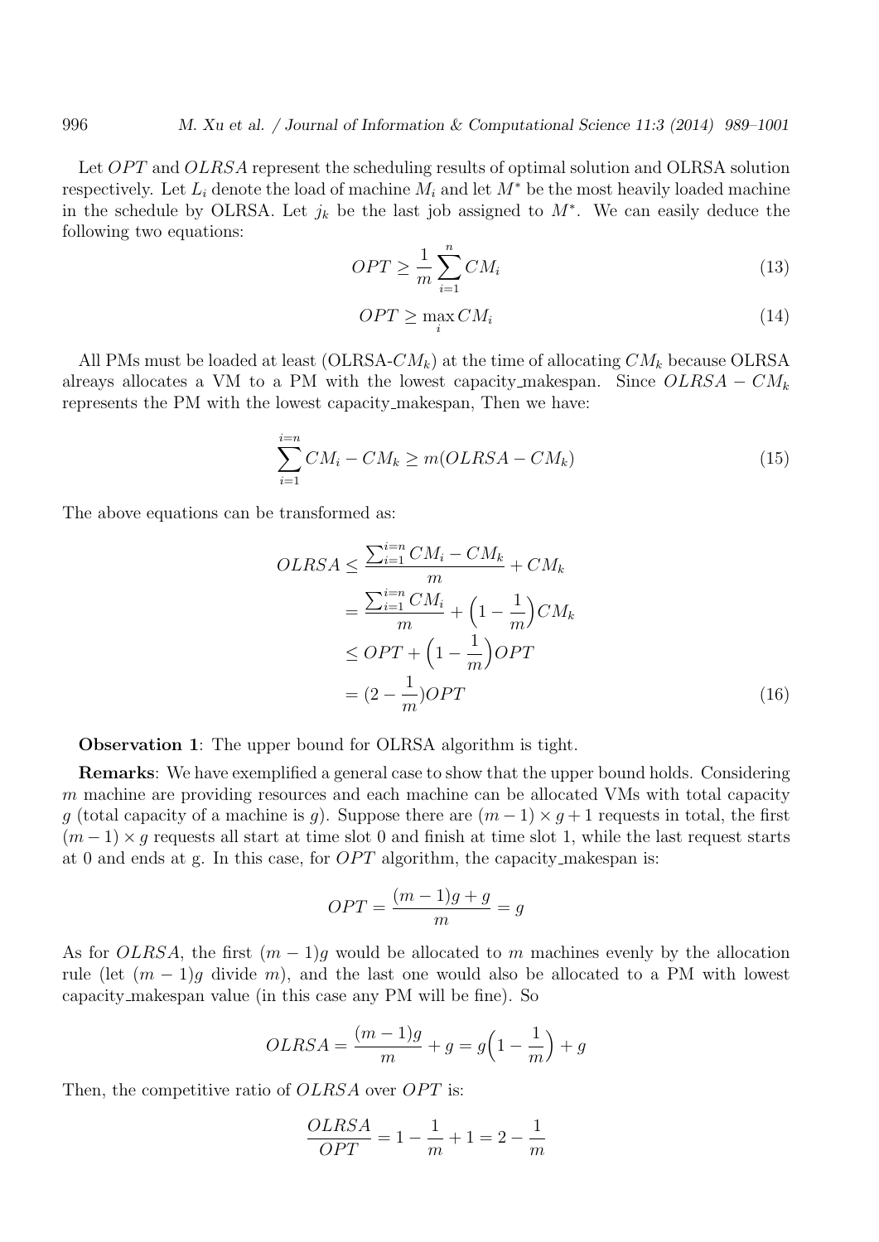Let *OPT* and *OLRSA* represent the scheduling results of optimal solution and OLRSA solution respectively. Let  $L_i$  denote the load of machine  $M_i$  and let  $M^*$  be the most heavily loaded machine in the schedule by OLRSA. Let  $j_k$  be the last job assigned to  $M^*$ . We can easily deduce the following two equations:

$$
OPT \ge \frac{1}{m} \sum_{i=1}^{n} CM_i \tag{13}
$$

$$
OPT \ge \max_{i} CM_i \tag{14}
$$

All PMs must be loaded at least (OLRSA-*CMk*) at the time of allocating *CM<sup>k</sup>* because OLRSA alreays allocates a VM to a PM with the lowest capacity\_makespan. Since  $OLRSA - CM_k$ represents the PM with the lowest capacity makespan, Then we have:

$$
\sum_{i=1}^{i=n} CM_i - CM_k \ge m(OLRSA - CM_k)
$$
\n(15)

The above equations can be transformed as:

$$
OLRSA \leq \frac{\sum_{i=1}^{i=n} CM_i - CM_k}{m} + CM_k
$$

$$
= \frac{\sum_{i=1}^{i=n} CM_i}{m} + \left(1 - \frac{1}{m}\right) CM_k
$$

$$
\leq OPT + \left(1 - \frac{1}{m}\right) OPT
$$

$$
= (2 - \frac{1}{m}) OPT
$$
(16)

**Observation 1**: The upper bound for OLRSA algorithm is tight.

**Remarks**: We have exemplified a general case to show that the upper bound holds. Considering *m* machine are providing resources and each machine can be allocated VMs with total capacity *g* (total capacity of a machine is *g*). Suppose there are  $(m-1) \times g + 1$  requests in total, the first  $(m-1) \times q$  requests all start at time slot 0 and finish at time slot 1, while the last request starts at 0 and ends at g. In this case, for *OPT* algorithm, the capacity makespan is:

$$
OPT = \frac{(m-1)g + g}{m} = g
$$

As for *OLRSA*, the first  $(m-1)g$  would be allocated to *m* machines evenly by the allocation rule (let  $(m-1)g$  divide *m*), and the last one would also be allocated to a PM with lowest capacity makespan value (in this case any PM will be fine). So

$$
OLRSA = \frac{(m-1)g}{m} + g = g\left(1 - \frac{1}{m}\right) + g
$$

Then, the competitive ratio of *OLRSA* over *OPT* is:

$$
\frac{OLRSA}{OPT} = 1 - \frac{1}{m} + 1 = 2 - \frac{1}{m}
$$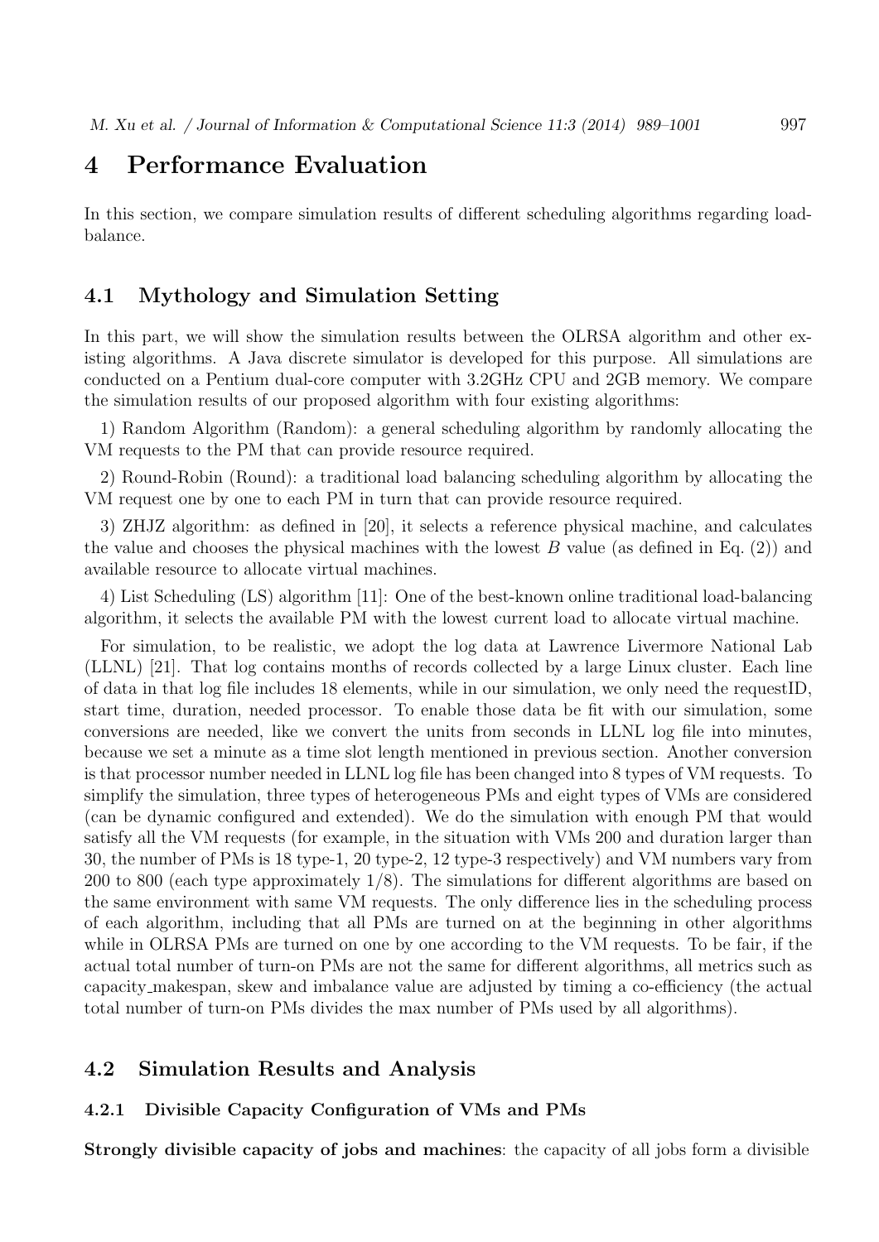### **4 Performance Evaluation**

In this section, we compare simulation results of different scheduling algorithms regarding loadbalance.

#### **4.1 Mythology and Simulation Setting**

In this part, we will show the simulation results between the OLRSA algorithm and other existing algorithms. A Java discrete simulator is developed for this purpose. All simulations are conducted on a Pentium dual-core computer with 3.2GHz CPU and 2GB memory. We compare the simulation results of our proposed algorithm with four existing algorithms:

1) Random Algorithm (Random): a general scheduling algorithm by randomly allocating the VM requests to the PM that can provide resource required.

2) Round-Robin (Round): a traditional load balancing scheduling algorithm by allocating the VM request one by one to each PM in turn that can provide resource required.

3) ZHJZ algorithm: as defined in [20], it selects a reference physical machine, and calculates the value and chooses the physical machines with the lowest *B* value (as defined in Eq. (2)) and available resource to allocate virtual machines.

4) List Scheduling (LS) algorithm [11]: One of the best-known online traditional load-balancing algorithm, it selects the available PM with the lowest current load to allocate virtual machine.

For simulation, to be realistic, we adopt the log data at Lawrence Livermore National Lab (LLNL) [21]. That log contains months of records collected by a large Linux cluster. Each line of data in that log file includes 18 elements, while in our simulation, we only need the requestID, start time, duration, needed processor. To enable those data be fit with our simulation, some conversions are needed, like we convert the units from seconds in LLNL log file into minutes, because we set a minute as a time slot length mentioned in previous section. Another conversion is that processor number needed in LLNL log file has been changed into 8 types of VM requests. To simplify the simulation, three types of heterogeneous PMs and eight types of VMs are considered (can be dynamic configured and extended). We do the simulation with enough PM that would satisfy all the VM requests (for example, in the situation with VMs 200 and duration larger than 30, the number of PMs is 18 type-1, 20 type-2, 12 type-3 respectively) and VM numbers vary from 200 to 800 (each type approximately 1/8). The simulations for different algorithms are based on the same environment with same VM requests. The only difference lies in the scheduling process of each algorithm, including that all PMs are turned on at the beginning in other algorithms while in OLRSA PMs are turned on one by one according to the VM requests. To be fair, if the actual total number of turn-on PMs are not the same for different algorithms, all metrics such as capacity makespan, skew and imbalance value are adjusted by timing a co-efficiency (the actual total number of turn-on PMs divides the max number of PMs used by all algorithms).

#### **4.2 Simulation Results and Analysis**

#### **4.2.1 Divisible Capacity Configuration of VMs and PMs**

**Strongly divisible capacity of jobs and machines**: the capacity of all jobs form a divisible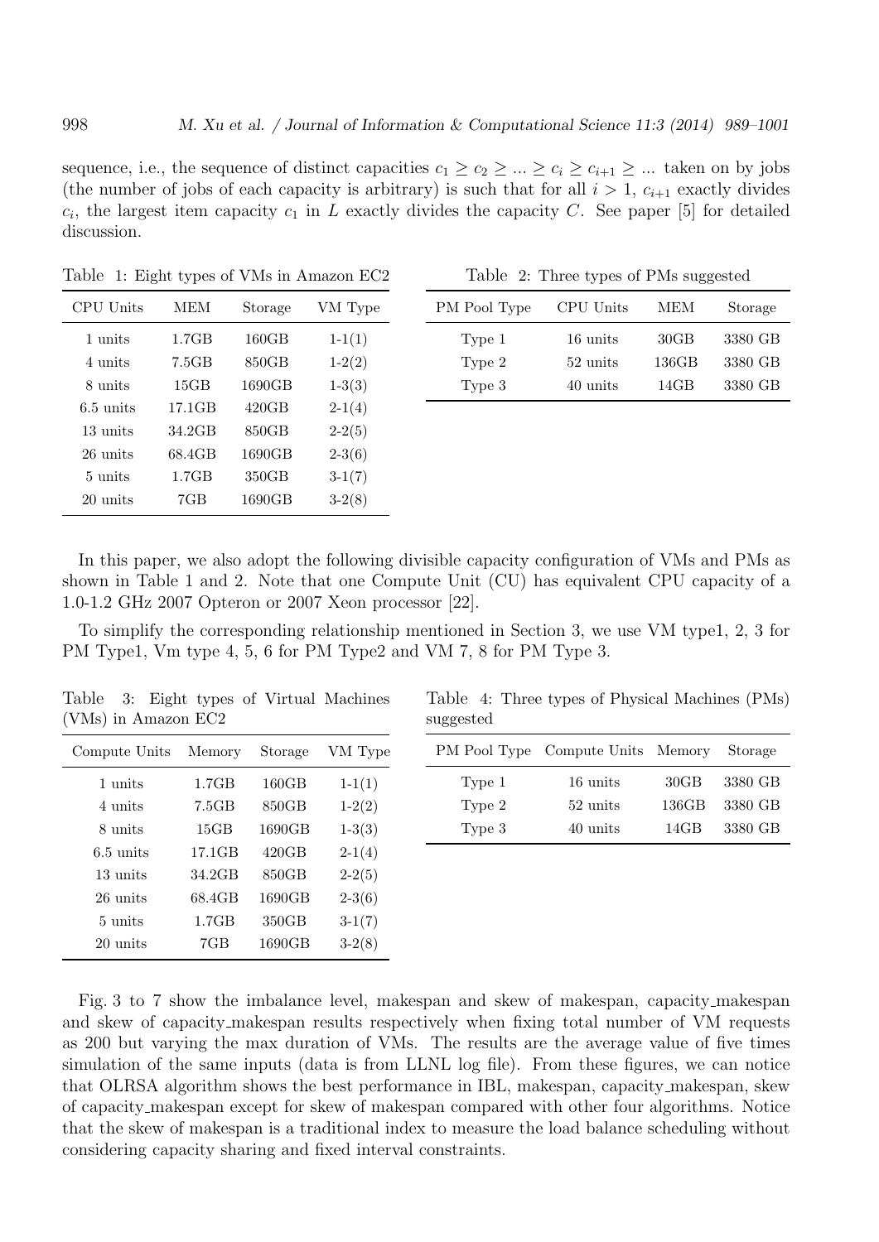sequence, i.e., the sequence of distinct capacities  $c_1 \geq c_2 \geq \ldots \geq c_i \geq c_{i+1} \geq \ldots$  taken on by jobs (the number of jobs of each capacity is arbitrary) is such that for all  $i > 1$ ,  $c_{i+1}$  exactly divides  $c_i$ , the largest item capacity  $c_1$  in *L* exactly divides the capacity *C*. See paper [5] for detailed discussion.

| CPU Units           | MEM    | Storage | VM Type  |
|---------------------|--------|---------|----------|
| 1 units             | 1.7GB  | 160GB   | $1-1(1)$ |
| 4 units             | 7.5GB  | 850GB   | $1-2(2)$ |
| 8 units             | 15GB   | 1690GB  | $1-3(3)$ |
| $6.5 \text{ units}$ | 17.1GB | 420GB   | $2-1(4)$ |
| 13 units            | 34.2GB | 850GB   | $2-2(5)$ |
| 26 units            | 68.4GB | 1690GB  | $2-3(6)$ |
| $5 \text{ units}$   | 1.7GB  | 350GB   | $3-1(7)$ |
| 20 units            | 7GB    | 1690GB  | $3-2(8)$ |

Table 1: Eight types of VMs in Amazon EC2

Table 2: Three types of PMs suggested

| PM Pool Type | CPU Units | MEM   | Storage |
|--------------|-----------|-------|---------|
| Type 1       | 16 units  | 30GB  | 3380 GB |
| Type 2       | 52 units  | 136GB | 3380 GB |
| Type 3       | 40 units  | 14GB  | 3380 GB |

In this paper, we also adopt the following divisible capacity configuration of VMs and PMs as shown in Table 1 and 2. Note that one Compute Unit (CU) has equivalent CPU capacity of a 1.0-1.2 GHz 2007 Opteron or 2007 Xeon processor [22].

To simplify the corresponding relationship mentioned in Section 3, we use VM type1, 2, 3 for PM Type1, Vm type 4, 5, 6 for PM Type2 and VM 7, 8 for PM Type 3.

Table 3: Eight types of Virtual Machines (VMs) in Amazon EC2

| Compute Units       | Memory | Storage | VM Type  |
|---------------------|--------|---------|----------|
| 1 units             | 1.7GB  | 160GB   | $1-1(1)$ |
| 4 units             | 7.5GB  | 850GB   | $1-2(2)$ |
| 8 units             | 15GB   | 1690GB  | $1-3(3)$ |
| $6.5 \text{ units}$ | 17.1GB | 420GB   | $2-1(4)$ |
| 13 units            | 34.2GB | 850GB   | $2-2(5)$ |
| 26 units            | 68.4GB | 1690GB  | $2-3(6)$ |
| $5 \text{ units}$   | 1.7GB  | 350GB   | $3-1(7)$ |
| 20 units            | 7GB    | 1690GB  | $3-2(8)$ |

Table 4: Three types of Physical Machines (PMs) suggested

|        | PM Pool Type Compute Units Memory |                 | Storage |
|--------|-----------------------------------|-----------------|---------|
| Type 1 | 16 units                          | $30\mathrm{GB}$ | 3380 GB |
| Type 2 | 52 units                          | 136GB           | 3380 GB |
| Type 3 | 40 units                          | 14GB            | 3380 GB |

Fig. 3 to 7 show the imbalance level, makespan and skew of makespan, capacity makespan and skew of capacity makespan results respectively when fixing total number of VM requests as 200 but varying the max duration of VMs. The results are the average value of five times simulation of the same inputs (data is from LLNL log file). From these figures, we can notice that OLRSA algorithm shows the best performance in IBL, makespan, capacity makespan, skew of capacity makespan except for skew of makespan compared with other four algorithms. Notice that the skew of makespan is a traditional index to measure the load balance scheduling without considering capacity sharing and fixed interval constraints.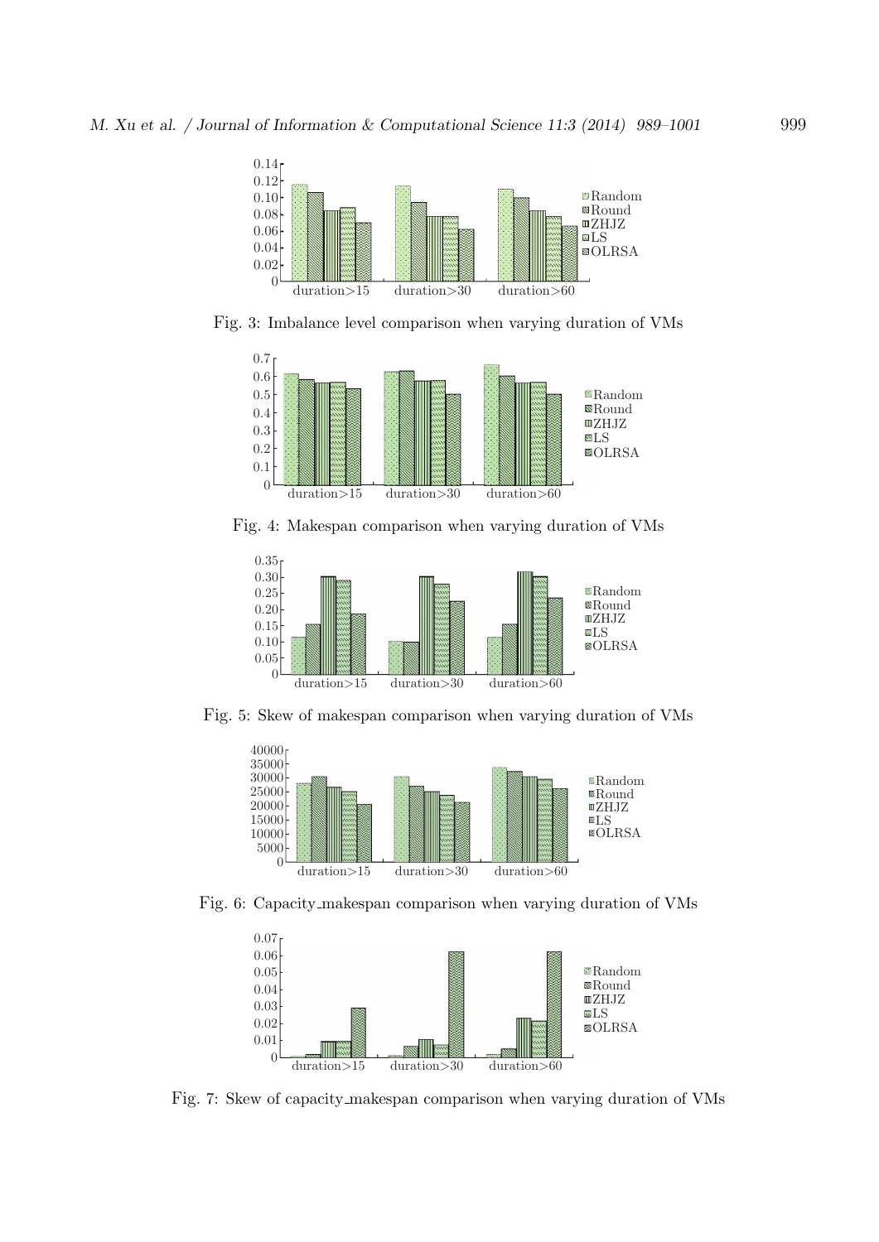

Fig. 3: Imbalance level comparison when varying duration of VMs



Fig. 4: Makespan comparison when varying duration of VMs



Fig. 5: Skew of makespan comparison when varying duration of VMs



Fig. 6: Capacity makespan comparison when varying duration of VMs



Fig. 7: Skew of capacity makespan comparison when varying duration of VMs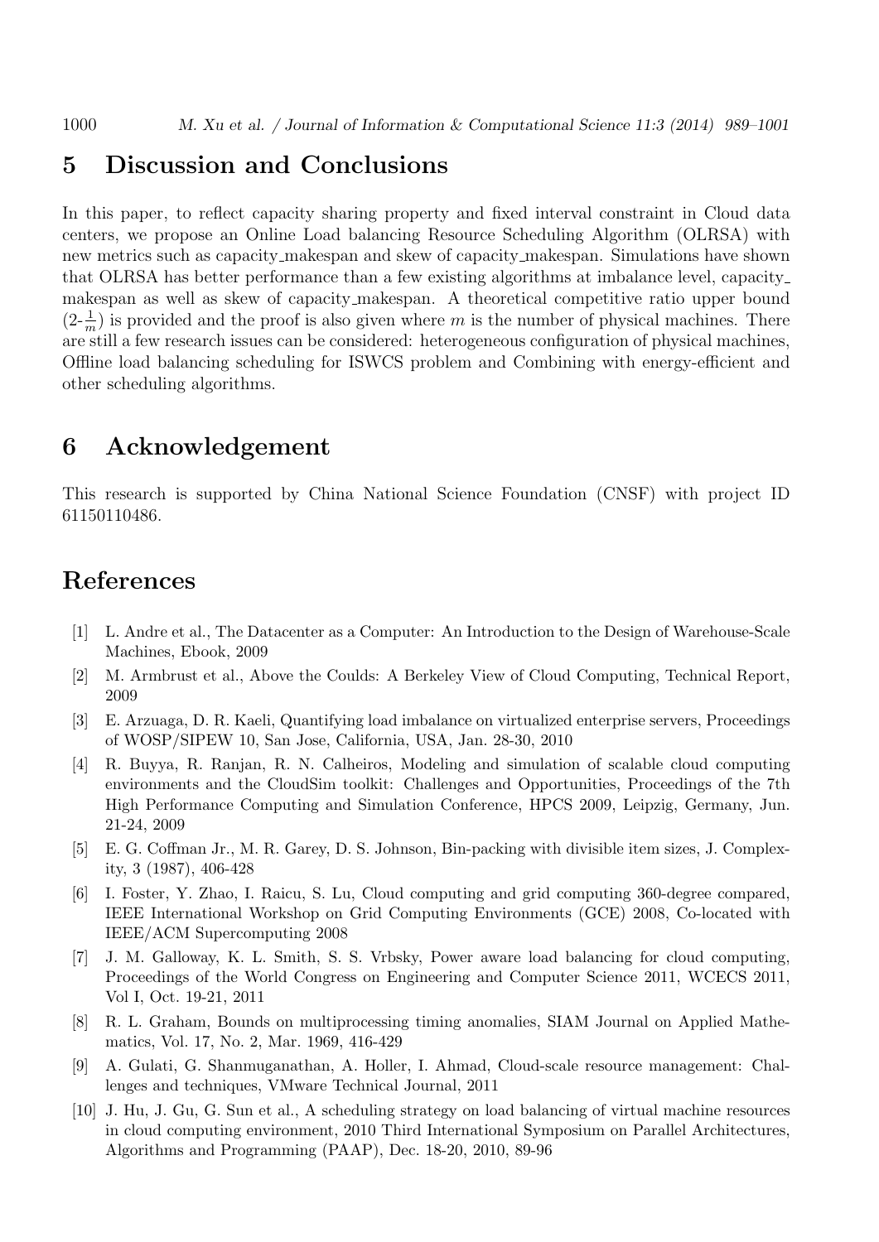#### **5 Discussion and Conclusions**

In this paper, to reflect capacity sharing property and fixed interval constraint in Cloud data centers, we propose an Online Load balancing Resource Scheduling Algorithm (OLRSA) with new metrics such as capacity makespan and skew of capacity makespan. Simulations have shown that OLRSA has better performance than a few existing algorithms at imbalance level, capacity makespan as well as skew of capacity makespan. A theoretical competitive ratio upper bound  $(2-\frac{1}{m})$  is provided and the proof is also given where *m* is the number of physical machines. There are still a few research issues can be considered: heterogeneous configuration of physical machines, Offline load balancing scheduling for ISWCS problem and Combining with energy-efficient and other scheduling algorithms.

## **6 Acknowledgement**

This research is supported by China National Science Foundation (CNSF) with project ID 61150110486.

# **References**

- [1] L. Andre et al., The Datacenter as a Computer: An Introduction to the Design of Warehouse-Scale Machines, Ebook, 2009
- [2] M. Armbrust et al., Above the Coulds: A Berkeley View of Cloud Computing, Technical Report, 2009
- [3] E. Arzuaga, D. R. Kaeli, Quantifying load imbalance on virtualized enterprise servers, Proceedings of WOSP/SIPEW 10, San Jose, California, USA, Jan. 28-30, 2010
- [4] R. Buyya, R. Ranjan, R. N. Calheiros, Modeling and simulation of scalable cloud computing environments and the CloudSim toolkit: Challenges and Opportunities, Proceedings of the 7th High Performance Computing and Simulation Conference, HPCS 2009, Leipzig, Germany, Jun. 21-24, 2009
- [5] E. G. Coffman Jr., M. R. Garey, D. S. Johnson, Bin-packing with divisible item sizes, J. Complexity, 3 (1987), 406-428
- [6] I. Foster, Y. Zhao, I. Raicu, S. Lu, Cloud computing and grid computing 360-degree compared, IEEE International Workshop on Grid Computing Environments (GCE) 2008, Co-located with IEEE/ACM Supercomputing 2008
- [7] J. M. Galloway, K. L. Smith, S. S. Vrbsky, Power aware load balancing for cloud computing, Proceedings of the World Congress on Engineering and Computer Science 2011, WCECS 2011, Vol I, Oct. 19-21, 2011
- [8] R. L. Graham, Bounds on multiprocessing timing anomalies, SIAM Journal on Applied Mathematics, Vol. 17, No. 2, Mar. 1969, 416-429
- [9] A. Gulati, G. Shanmuganathan, A. Holler, I. Ahmad, Cloud-scale resource management: Challenges and techniques, VMware Technical Journal, 2011
- [10] J. Hu, J. Gu, G. Sun et al., A scheduling strategy on load balancing of virtual machine resources in cloud computing environment, 2010 Third International Symposium on Parallel Architectures, Algorithms and Programming (PAAP), Dec. 18-20, 2010, 89-96